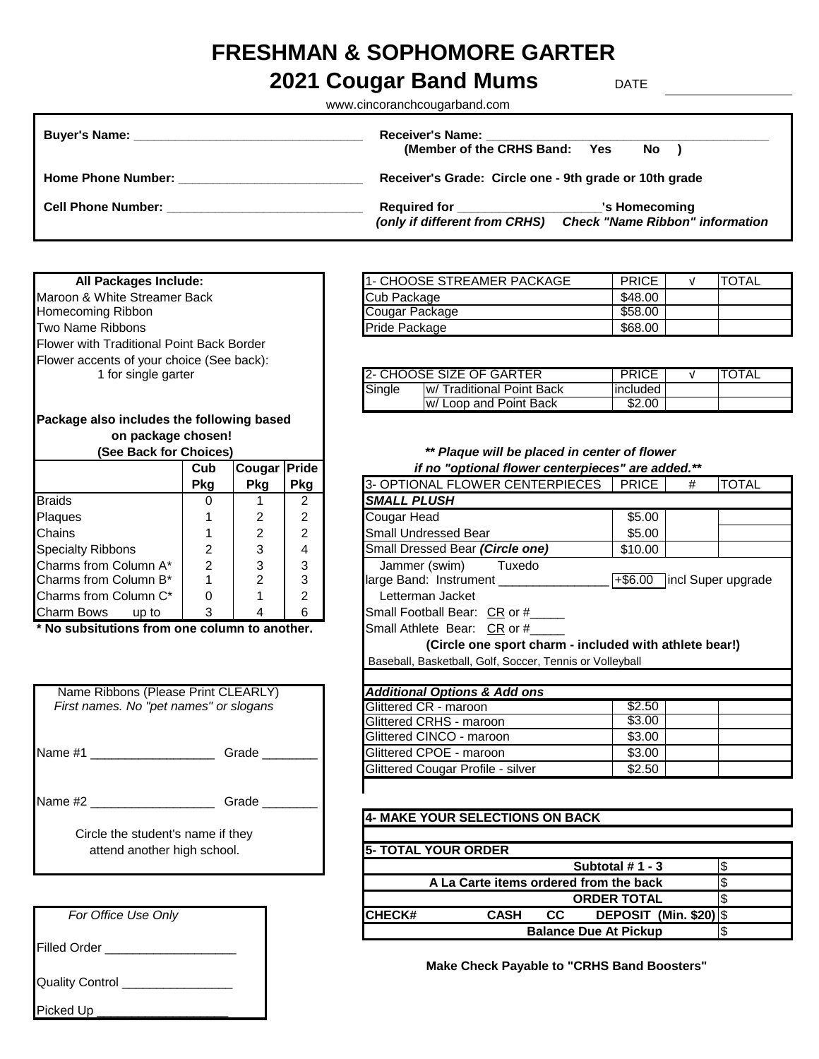# **FRESHMAN & SOPHOMORE GARTER**

## **2021 Cougar Band Mums** DATE

www.cincoranchcougarband.com

| <b>Buyer's Name:</b> The contract of the contract of the contract of the contract of the contract of the contract of the contract of the contract of the contract of the contract of the contract of the contract of the contract o | <b>Receiver's Name:</b><br>(Member of the CRHS Band: Yes<br>$No$ )                                                       |
|-------------------------------------------------------------------------------------------------------------------------------------------------------------------------------------------------------------------------------------|--------------------------------------------------------------------------------------------------------------------------|
| <b>Home Phone Number:</b>                                                                                                                                                                                                           | Receiver's Grade: Circle one - 9th grade or 10th grade                                                                   |
| <b>Cell Phone Number:</b>                                                                                                                                                                                                           | Required for _______________<br>'s Homecoming<br><b>Check "Name Ribbon" information</b><br>(only if different from CRHS) |

#### **All Packages Include:**

Maroon & White Streamer Back Homecoming Ribbon Two Name Ribbons Flower with Traditional Point Back Border Flower accents of your choice (See back): 1 for single garter

### **Package also includes the following based on package chosen!**<br>(See Back for Choices)

| JEE DAUN IUI UIIUIUESI     |                |        |                | r layut will be plactu          |
|----------------------------|----------------|--------|----------------|---------------------------------|
|                            | Cub            | Cougar | <b>Pride</b>   | if no "optional flower cen      |
|                            | Pkg            | Pkg    | <b>Pkg</b>     | 3- OPTIONAL FLOWER CENTERP      |
| <b>Braids</b>              |                |        | $\mathcal{P}$  | <b>SMALL PLUSH</b>              |
| Plaques                    |                | 2      | $\overline{2}$ | Cougar Head                     |
| <b>Chains</b>              |                | 2      | $\overline{2}$ | <b>Small Undressed Bear</b>     |
| <b>Specialty Ribbons</b>   | 2              | 3      | 4              | Small Dressed Bear (Circle one) |
| Charms from Column A*      | $\mathfrak{p}$ | 3      | 3              | Jammer (swim)<br>Tuxedo         |
| Charms from Column B*      |                | 2      | 3              | large Band: Instrument          |
| Charms from Column C*      | $\Omega$       |        | $\overline{2}$ | Letterman Jacket                |
| <b>Charm Bows</b><br>up to | 3              |        | 6              | Small Football Bear: CR or #    |

|         | Name Ribbons (Please Print CLEARLY)    | <b>Additional Options &amp; Add ons</b> |
|---------|----------------------------------------|-----------------------------------------|
|         | First names. No "pet names" or slogans | Glittered CR - maroon                   |
|         |                                        | Glittered CRHS - maroon                 |
|         |                                        | Glittered CINCO - maroon                |
| Name #1 | Grade                                  | Glittered CPOE - maroon                 |
|         |                                        | Glittered Cougar Profile - silver       |
|         |                                        |                                         |
| Name #2 | Grade                                  |                                         |
|         |                                        | 4- MAKE YOUR SELECTIONS (               |
|         | Circle the student's name if they      |                                         |
|         | attend another high school.            | <b>5- TOTAL YOUR ORDER</b>              |

|                     | For Office Use Only |
|---------------------|---------------------|
| <b>Filled Order</b> |                     |
| $\bigcap_{i=1}^{n}$ |                     |

Quality Control \_\_\_\_\_\_\_\_\_\_\_\_\_\_\_\_

Picked Up

| 1- CHOOSE STREAMER PACKAGE | <b>PRICE</b> | <b>TOTAL</b> |
|----------------------------|--------------|--------------|
| Cub Package                | \$48.00      |              |
| Cougar Package             | \$58.00      |              |
| Pride Package              | \$68.00      |              |

|        | 2- CHOOSE SIZE OF GARTER          | PRICE       | <b>ITOTAL</b> |  |
|--------|-----------------------------------|-------------|---------------|--|
| Single | <b>Iw/ Traditional Point Back</b> | lincluded l |               |  |
|        | w/ Loop and Point Back            | \$2.00      |               |  |

**(See Back for Choices)** *\*\* Plaque will be placed in center of flower*

|                                               | Cub | Cougar     | Pride | if no "optional flower centerpieces" are added.**                |  |  |
|-----------------------------------------------|-----|------------|-------|------------------------------------------------------------------|--|--|
|                                               | Pkg | <b>Pkg</b> | Pkg   | 3- OPTIONAL FLOWER CENTERPIECES   PRICE<br><b>TOTAL</b><br>#     |  |  |
| <b>Braids</b>                                 | 0   |            | 2     | <b>SMALL PLUSH</b>                                               |  |  |
| Plaques                                       |     | 2          | 2     | \$5.00<br>Cougar Head                                            |  |  |
| Chains                                        |     | 2          | 2     | <b>Small Undressed Bear</b><br>\$5.00                            |  |  |
| <b>Specialty Ribbons</b>                      | 2   | 3          | 4     | Small Dressed Bear (Circle one)<br>\$10.00                       |  |  |
| Charms from Column A*                         | 2   | 3          | 3     | Jammer (swim)<br>Tuxedo                                          |  |  |
| Charms from Column B*                         |     | 2          | 3     | large Band: Instrument _____<br>incl Super upgrade<br>$+$ \$6.00 |  |  |
| Charms from Column C*                         | 0   |            | 2     | Letterman Jacket                                                 |  |  |
| Charm Bows up to                              | 3   | 4          | 6     | Small Football Bear: CR or #____                                 |  |  |
| * No subsitutions from one column to another. |     |            |       | Small Athlete Bear: CR or #                                      |  |  |
|                                               |     |            |       | (Circle one sport charm - included with athlete bear!)           |  |  |
|                                               |     |            |       | Baseball, Basketball, Golf, Soccer, Tennis or Volleyball         |  |  |
|                                               |     |            |       |                                                                  |  |  |
| Name Ribbons (Please Print CLEARLY)           |     |            |       | <b>Additional Options &amp; Add ons</b>                          |  |  |
| First names. No "pet names" or slogans        |     |            |       | \$2.50<br>Glittered CR - maroon                                  |  |  |
|                                               |     |            |       | \$3.00<br>Glittered CRHS - maroon                                |  |  |
|                                               |     |            |       | \$3.00<br>Glittered CINCO - maroon                               |  |  |

#### **4- MAKE YOUR SELECTIONS ON BACK**

Glittered CPOE - maroon \$3.00 Glittered Cougar Profile - silver **\$2.50** 

| attend another high school. | <b>15- TOTAL YOUR ORDER</b>                                      |  |
|-----------------------------|------------------------------------------------------------------|--|
|                             | Subtotal $# 1 - 3$                                               |  |
|                             | A La Carte items ordered from the back                           |  |
|                             | <b>ORDER TOTAL</b>                                               |  |
| For Office Use Only         | ICHECK#<br><b>DEPOSIT (Min. \$20)</b>   \$<br><b>CASH</b><br>CC. |  |
|                             | <b>Balance Due At Pickup</b>                                     |  |

**Make Check Payable to "CRHS Band Boosters"**